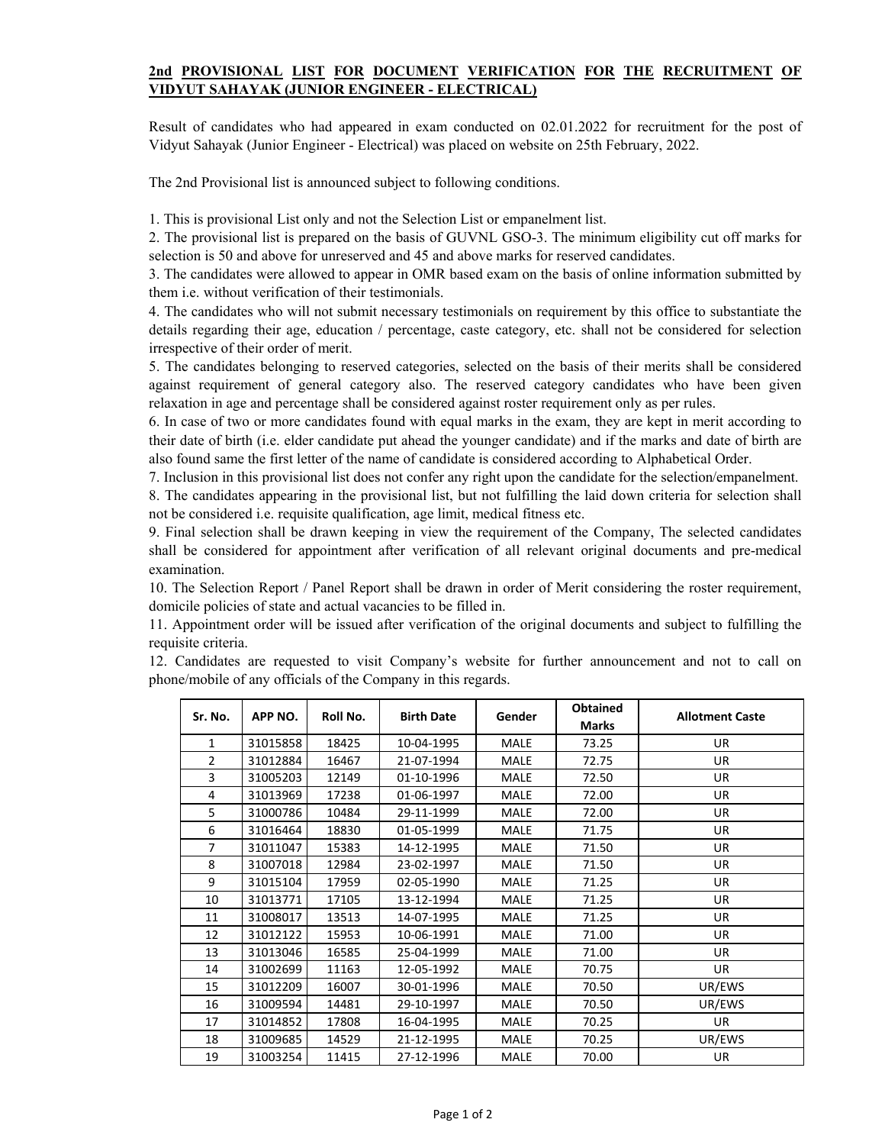## **2nd PROVISIONAL LIST FOR DOCUMENT VERIFICATION FOR THE RECRUITMENT OF VIDYUT SAHAYAK (JUNIOR ENGINEER - ELECTRICAL)**

Result of candidates who had appeared in exam conducted on 02.01.2022 for recruitment for the post of Vidyut Sahayak (Junior Engineer - Electrical) was placed on website on 25th February, 2022.

The 2nd Provisional list is announced subject to following conditions.

1. This is provisional List only and not the Selection List or empanelment list.

2. The provisional list is prepared on the basis of GUVNL GSO-3. The minimum eligibility cut off marks for selection is 50 and above for unreserved and 45 and above marks for reserved candidates.

3. The candidates were allowed to appear in OMR based exam on the basis of online information submitted by them i.e. without verification of their testimonials.

4. The candidates who will not submit necessary testimonials on requirement by this office to substantiate the details regarding their age, education / percentage, caste category, etc. shall not be considered for selection irrespective of their order of merit.

5. The candidates belonging to reserved categories, selected on the basis of their merits shall be considered against requirement of general category also. The reserved category candidates who have been given relaxation in age and percentage shall be considered against roster requirement only as per rules.

6. In case of two or more candidates found with equal marks in the exam, they are kept in merit according to their date of birth (i.e. elder candidate put ahead the younger candidate) and if the marks and date of birth are also found same the first letter of the name of candidate is considered according to Alphabetical Order.

7. Inclusion in this provisional list does not confer any right upon the candidate for the selection/empanelment.

8. The candidates appearing in the provisional list, but not fulfilling the laid down criteria for selection shall not be considered i.e. requisite qualification, age limit, medical fitness etc.

9. Final selection shall be drawn keeping in view the requirement of the Company, The selected candidates shall be considered for appointment after verification of all relevant original documents and pre-medical examination.

10. The Selection Report / Panel Report shall be drawn in order of Merit considering the roster requirement, domicile policies of state and actual vacancies to be filled in.

11. Appointment order will be issued after verification of the original documents and subject to fulfilling the requisite criteria.

12. Candidates are requested to visit Company's website for further announcement and not to call on phone/mobile of any officials of the Company in this regards.

| Sr. No.        | APP NO.  | Roll No. | <b>Birth Date</b> | Gender      | <b>Obtained</b> | <b>Allotment Caste</b> |
|----------------|----------|----------|-------------------|-------------|-----------------|------------------------|
|                |          |          |                   |             | <b>Marks</b>    |                        |
| $\mathbf{1}$   | 31015858 | 18425    | 10-04-1995        | <b>MALE</b> | 73.25           | <b>UR</b>              |
| $\overline{2}$ | 31012884 | 16467    | 21-07-1994        | <b>MALE</b> | 72.75           | <b>UR</b>              |
| 3              | 31005203 | 12149    | 01-10-1996        | <b>MALE</b> | 72.50           | <b>UR</b>              |
| 4              | 31013969 | 17238    | 01-06-1997        | <b>MALE</b> | 72.00           | <b>UR</b>              |
| 5              | 31000786 | 10484    | 29-11-1999        | <b>MALE</b> | 72.00           | <b>UR</b>              |
| 6              | 31016464 | 18830    | 01-05-1999        | <b>MALE</b> | 71.75           | UR                     |
| $\overline{7}$ | 31011047 | 15383    | 14-12-1995        | <b>MALE</b> | 71.50           | <b>UR</b>              |
| 8              | 31007018 | 12984    | 23-02-1997        | <b>MALE</b> | 71.50           | <b>UR</b>              |
| 9              | 31015104 | 17959    | 02-05-1990        | <b>MALE</b> | 71.25           | UR                     |
| 10             | 31013771 | 17105    | 13-12-1994        | <b>MALE</b> | 71.25           | <b>UR</b>              |
| 11             | 31008017 | 13513    | 14-07-1995        | <b>MALE</b> | 71.25           | UR                     |
| 12             | 31012122 | 15953    | 10-06-1991        | <b>MALE</b> | 71.00           | <b>UR</b>              |
| 13             | 31013046 | 16585    | 25-04-1999        | <b>MALE</b> | 71.00           | UR                     |
| 14             | 31002699 | 11163    | 12-05-1992        | MALE        | 70.75           | UR.                    |
| 15             | 31012209 | 16007    | 30-01-1996        | <b>MALE</b> | 70.50           | UR/EWS                 |
| 16             | 31009594 | 14481    | 29-10-1997        | <b>MALE</b> | 70.50           | UR/EWS                 |
| 17             | 31014852 | 17808    | 16-04-1995        | <b>MALE</b> | 70.25           | UR                     |
| 18             | 31009685 | 14529    | 21-12-1995        | <b>MALE</b> | 70.25           | UR/EWS                 |
| 19             | 31003254 | 11415    | 27-12-1996        | <b>MALE</b> | 70.00           | UR                     |